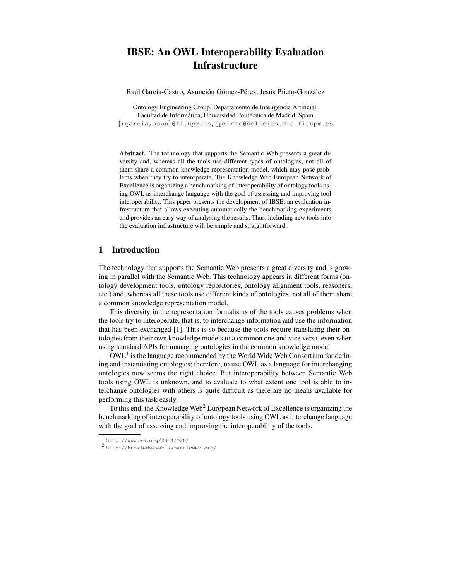# **IBSE: An OWL Interoperability Evaluation Infrastructure**

Raúl García-Castro, Asunción Gómez-Pérez, Jesús Prieto-González

Ontology Engineering Group, Departamento de Inteligencia Artificial. Facultad de Informática, Universidad Politécnica de Madrid, Spain {rgarcia,asun}@fi.upm.es,jprieto@delicias.dia.fi.upm.es

**Abstract.** The technology that supports the Semantic Web presents a great diversity and, whereas all the tools use different types of ontologies, not all of them share a common knowledge representation model, which may pose problems when they try to interoperate. The Knowledge Web European Network of Excellence is organizing a benchmarking of interoperability of ontology tools using OWL as interchange language with the goal of assessing and improving tool interoperability. This paper presents the development of IBSE, an evaluation infrastructure that allows executing automatically the benchmarking experiments and provides an easy way of analysing the results. Thus, including new tools into the evaluation infrastructure will be simple and straightforward.

### **1 Introduction**

The technology that supports the Semantic Web presents a great diversity and is growing in parallel with the Semantic Web. This technology appears in different forms (ontology development tools, ontology repositories, ontology alignment tools, reasoners, etc.) and, whereas all these tools use different kinds of ontologies, not all of them share a common knowledge representation model.

This diversity in the representation formalisms of the tools causes problems when the tools try to interoperate, that is, to interchange information and use the information that has been exchanged [1]. This is so because the tools require translating their ontologies from their own knowledge models to a common one and vice versa, even when using standard APIs for managing ontologies in the common knowledge model.

 $\text{OWL}^1$  is the language recommended by the World Wide Web Consortium for defining and instantiating ontologies; therefore, to use OWL as a language for interchanging ontologies now seems the right choice. But interoperability between Semantic Web tools using OWL is unknown, and to evaluate to what extent one tool is able to interchange ontologies with others is quite difficult as there are no means available for performing this task easily.

To this end, the Knowledge Web<sup>2</sup> European Network of Excellence is organizing the benchmarking of interoperability of ontology tools using OWL as interchange language with the goal of assessing and improving the interoperability of the tools.

<sup>1</sup> http://www.w3.org/2004/OWL/

<sup>2</sup> http://knowledgeweb.semanticweb.org/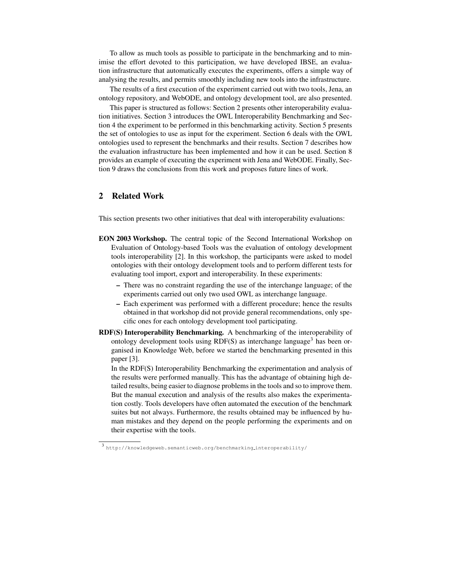To allow as much tools as possible to participate in the benchmarking and to minimise the effort devoted to this participation, we have developed IBSE, an evaluation infrastructure that automatically executes the experiments, offers a simple way of analysing the results, and permits smoothly including new tools into the infrastructure.

The results of a first execution of the experiment carried out with two tools, Jena, an ontology repository, and WebODE, and ontology development tool, are also presented.

This paper is structured as follows: Section 2 presents other interoperability evaluation initiatives. Section 3 introduces the OWL Interoperability Benchmarking and Section 4 the experiment to be performed in this benchmarking activity. Section 5 presents the set of ontologies to use as input for the experiment. Section 6 deals with the OWL ontologies used to represent the benchmarks and their results. Section 7 describes how the evaluation infrastructure has been implemented and how it can be used. Section 8 provides an example of executing the experiment with Jena and WebODE. Finally, Section 9 draws the conclusions from this work and proposes future lines of work.

## **2 Related Work**

This section presents two other initiatives that deal with interoperability evaluations:

- **EON 2003 Workshop.** The central topic of the Second International Workshop on Evaluation of Ontology-based Tools was the evaluation of ontology development tools interoperability [2]. In this workshop, the participants were asked to model ontologies with their ontology development tools and to perform different tests for evaluating tool import, export and interoperability. In these experiments:
	- **–** There was no constraint regarding the use of the interchange language; of the experiments carried out only two used OWL as interchange language.
	- **–** Each experiment was performed with a different procedure; hence the results obtained in that workshop did not provide general recommendations, only specific ones for each ontology development tool participating.
- **RDF(S) Interoperability Benchmarking.** A benchmarking of the interoperability of ontology development tools using  $RDF(S)$  as interchange language<sup>3</sup> has been organised in Knowledge Web, before we started the benchmarking presented in this paper [3].

In the RDF(S) Interoperability Benchmarking the experimentation and analysis of the results were performed manually. This has the advantage of obtaining high detailed results, being easier to diagnose problems in the tools and so to improve them. But the manual execution and analysis of the results also makes the experimentation costly. Tools developers have often automated the execution of the benchmark suites but not always. Furthermore, the results obtained may be influenced by human mistakes and they depend on the people performing the experiments and on their expertise with the tools.

<sup>3</sup> http://knowledgeweb.semanticweb.org/benchmarking interoperability/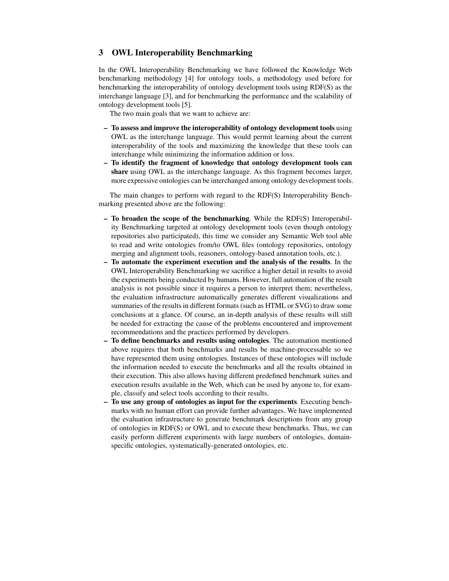## **3 OWL Interoperability Benchmarking**

In the OWL Interoperability Benchmarking we have followed the Knowledge Web benchmarking methodology [4] for ontology tools, a methodology used before for benchmarking the interoperability of ontology development tools using RDF(S) as the interchange language [3], and for benchmarking the performance and the scalability of ontology development tools [5].

The two main goals that we want to achieve are:

- **– To assess and improve the interoperability of ontology development tools** using OWL as the interchange language. This would permit learning about the current interoperability of the tools and maximizing the knowledge that these tools can interchange while minimizing the information addition or loss.
- **– To identify the fragment of knowledge that ontology development tools can share** using OWL as the interchange language. As this fragment becomes larger, more expressive ontologies can be interchanged among ontology development tools.

The main changes to perform with regard to the RDF(S) Interoperability Benchmarking presented above are the following:

- **– To broaden the scope of the benchmarking**. While the RDF(S) Interoperability Benchmarking targeted at ontology development tools (even though ontology repositories also participated), this time we consider any Semantic Web tool able to read and write ontologies from/to OWL files (ontology repositories, ontology merging and alignment tools, reasoners, ontology-based annotation tools, etc.).
- **– To automate the experiment execution and the analysis of the results**. In the OWL Interoperability Benchmarking we sacrifice a higher detail in results to avoid the experiments being conducted by humans. However, full automation of the result analysis is not possible since it requires a person to interpret them; nevertheless, the evaluation infrastructure automatically generates different visualizations and summaries of the results in different formats (such as HTML or SVG) to draw some conclusions at a glance. Of course, an in-depth analysis of these results will still be needed for extracting the cause of the problems encountered and improvement recommendations and the practices performed by developers.
- **– To define benchmarks and results using ontologies**. The automation mentioned above requires that both benchmarks and results be machine-processable so we have represented them using ontologies. Instances of these ontologies will include the information needed to execute the benchmarks and all the results obtained in their execution. This also allows having different predefined benchmark suites and execution results available in the Web, which can be used by anyone to, for example, classify and select tools according to their results.
- **– To use any group of ontologies as input for the experiments**. Executing benchmarks with no human effort can provide further advantages. We have implemented the evaluation infrastructure to generate benchmark descriptions from any group of ontologies in RDF(S) or OWL and to execute these benchmarks. Thus, we can easily perform different experiments with large numbers of ontologies, domainspecific ontologies, systematically-generated ontologies, etc.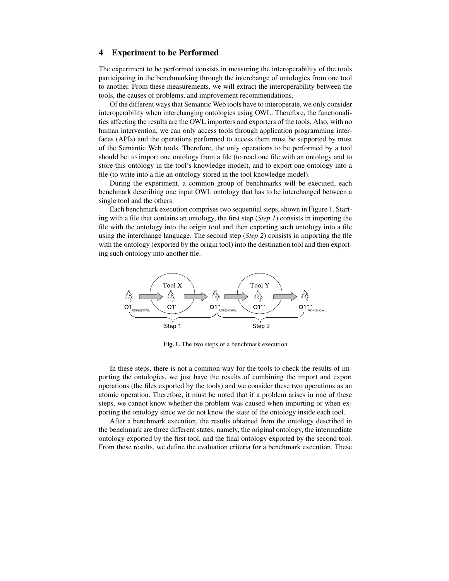#### **4 Experiment to be Performed**

The experiment to be performed consists in measuring the interoperability of the tools participating in the benchmarking through the interchange of ontologies from one tool to another. From these measurements, we will extract the interoperability between the tools, the causes of problems, and improvement recommendations.

Of the different waysthat Semantic Web tools have to interoperate, we only consider interoperability when interchanging ontologies using OWL. Therefore, the functionalities affecting the results are the OWL importers and exporters of the tools. Also, with no human intervention, we can only access tools through application programming interfaces (APIs) and the operations performed to access them must be supported by most of the Semantic Web tools. Therefore, the only operations to be performed by a tool should be: to import one ontology from a file (to read one file with an ontology and to store this ontology in the tool's knowledge model), and to export one ontology into a file (to write into a file an ontology stored in the tool knowledge model).

During the experiment, a common group of benchmarks will be executed, each benchmark describing one input OWL ontology that has to be interchanged between a single tool and the others.

Each benchmark execution comprises two sequential steps, shown in Figure 1. Starting with a file that contains an ontology, the first step (*Step 1*) consists in importing the file with the ontology into the origin tool and then exporting such ontology into a file using the interchange language. The second step (*Step 2*) consists in importing the file with the ontology (exported by the origin tool) into the destination tool and then exporting such ontology into another file.



**Fig. 1.** The two steps of a benchmark execution

In these steps, there is not a common way for the tools to check the results of importing the ontologies, we just have the results of combining the import and export operations (the files exported by the tools) and we consider these two operations as an atomic operation. Therefore, it must be noted that if a problem arises in one of these steps, we cannot know whether the problem was caused when importing or when exporting the ontology since we do not know the state of the ontology inside each tool.

After a benchmark execution, the results obtained from the ontology described in the benchmark are three different states, namely, the original ontology, the intermediate ontology exported by the first tool, and the final ontology exported by the second tool. From these results, we define the evaluation criteria for a benchmark execution. These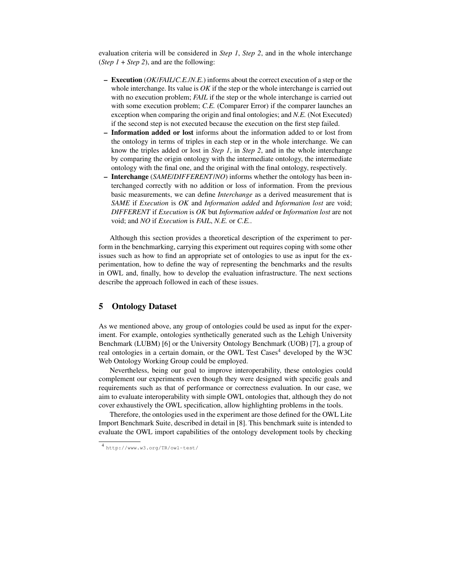evaluation criteria will be considered in *Step 1*, *Step 2*, and in the whole interchange (*Step*  $1 +$  *Step* 2), and are the following:

- **– Execution** (*OK*/*FAIL*/*C.E.*/*N.E.*) informs about the correct execution of a step or the whole interchange. Its value is *OK* if the step or the whole interchange is carried out with no execution problem; *FAIL* if the step or the whole interchange is carried out with some execution problem; *C.E.* (Comparer Error) if the comparer launches an exception when comparing the origin and final ontologies; and *N.E.* (Not Executed) if the second step is not executed because the execution on the first step failed.
- **– Information added or lost** informs about the information added to or lost from the ontology in terms of triples in each step or in the whole interchange. We can know the triples added or lost in *Step 1*, in *Step 2*, and in the whole interchange by comparing the origin ontology with the intermediate ontology, the intermediate ontology with the final one, and the original with the final ontology, respectively.
- **– Interchange** (*SAME*/*DIFFERENT*/*NO*) informs whether the ontology has been interchanged correctly with no addition or loss of information. From the previous basic measurements, we can define *Interchange* as a derived measurement that is *SAME* if *Execution* is *OK* and *Information added* and *Information lost* are void; *DIFFERENT* if *Execution* is *OK* but *Information added* or *Information lost* are not void; and *NO* if *Execution* is *FAIL*, *N.E.* or *C.E.*.

Although this section provides a theoretical description of the experiment to perform in the benchmarking, carrying this experiment out requires coping with some other issues such as how to find an appropriate set of ontologies to use as input for the experimentation, how to define the way of representing the benchmarks and the results in OWL and, finally, how to develop the evaluation infrastructure. The next sections describe the approach followed in each of these issues.

### **5 Ontology Dataset**

As we mentioned above, any group of ontologies could be used as input for the experiment. For example, ontologies synthetically generated such as the Lehigh University Benchmark (LUBM) [6] or the University Ontology Benchmark (UOB) [7], a group of real ontologies in a certain domain, or the OWL Test Cases<sup>4</sup> developed by the W3C Web Ontology Working Group could be employed.

Nevertheless, being our goal to improve interoperability, these ontologies could complement our experiments even though they were designed with specific goals and requirements such as that of performance or correctness evaluation. In our case, we aim to evaluate interoperability with simple OWL ontologies that, although they do not cover exhaustively the OWL specification, allow highlighting problems in the tools.

Therefore, the ontologies used in the experiment are those defined for the OWL Lite Import Benchmark Suite, described in detail in [8]. This benchmark suite is intended to evaluate the OWL import capabilities of the ontology development tools by checking

<sup>4</sup> http://www.w3.org/TR/owl-test/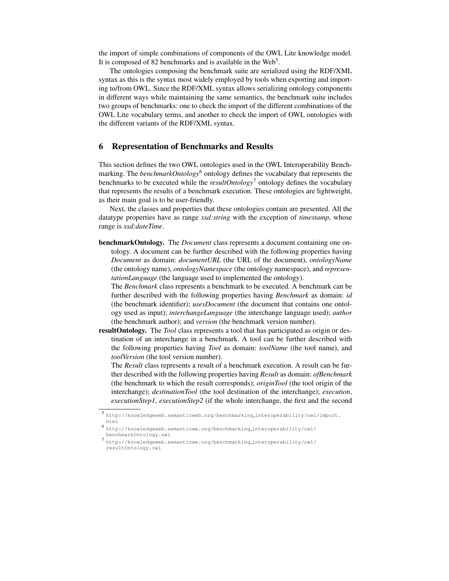the import of simple combinations of components of the OWL Lite knowledge model. It is composed of 82 benchmarks and is available in the Web<sup>5</sup>.

The ontologies composing the benchmark suite are serialized using the RDF/XML syntax as this is the syntax most widely employed by tools when exporting and importing to/from OWL. Since the RDF/XML syntax allows serializing ontology components in different ways while maintaining the same semantics, the benchmark suite includes two groups of benchmarks: one to check the import of the different combinations of the OWL Lite vocabulary terms, and another to check the import of OWL ontologies with the different variants of the RDF/XML syntax.

### **6 Representation of Benchmarks and Results**

This section defines the two OWL ontologies used in the OWL Interoperability Benchmarking. The *benchmarkOntology*<sup>6</sup> ontology defines the vocabulary that represents the benchmarks to be executed while the *resultOntology*<sup>7</sup> ontology defines the vocabulary that represents the results of a benchmark execution. These ontologies are lightweight, as their main goal is to be user-friendly.

Next, the classes and properties that these ontologies contain are presented. All the datatype properties have as range *xsd:string* with the exception of *timestamp*, whose range is *xsd:dateTime*.

**benchmarkOntology.** The *Document* class represents a document containing one ontology. A document can be further described with the following properties having *Document* as domain: *documentURL* (the URL of the document), *ontologyName* (the ontology name), *ontologyNamespace* (the ontology namespace), and *representationLanguage* (the language used to implemented the ontology).

The *Benchmark* class represents a benchmark to be executed. A benchmark can be further described with the following properties having *Benchmark* as domain: *id* (the benchmark identifier); *usesDocument* (the document that contains one ontology used as input); *interchangeLanguage* (the interchange language used); *author* (the benchmark author); and *version* (the benchmark version number).

**resultOntology.** The *Tool* class represents a tool that has participated as origin or destination of an interchange in a benchmark. A tool can be further described with the following properties having *Tool* as domain: *toolName* (the tool name), and *toolVersion* (the tool version number).

The *Result* class represents a result of a benchmark execution. A result can be further described with the following properties having *Result* as domain: *ofBenchmark* (the benchmark to which the result corresponds); *originTool* (the tool origin of the interchange); *destinationTool* (the tool destination of the interchange); *execution*, *executionStep1*, *executionStep2* (if the whole interchange, the first and the second

<sup>5</sup> http://knowledgeweb.semanticweb.org/benchmarking interoperability/owl/import. html

<sup>6</sup> http://knowledgeweb.semanticwe.org/benchmarking interoperability/owl/ benchmarkOntology.owl

<sup>7</sup> http://knowledgeweb.semanticwe.org/benchmarking interoperability/owl/ resultOntology.owl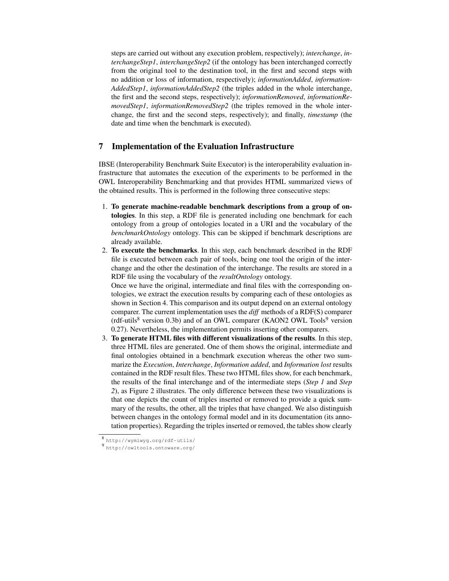steps are carried out without any execution problem, respectively); *interchange*, *interchangeStep1*, *interchangeStep2* (if the ontology has been interchanged correctly from the original tool to the destination tool, in the first and second steps with no addition or loss of information, respectively); *informationAdded*, *information-AddedStep1*, *informationAddedStep2* (the triples added in the whole interchange, the first and the second steps, respectively); *informationRemoved*, *informationRemovedStep1*, *informationRemovedStep2* (the triples removed in the whole interchange, the first and the second steps, respectively); and finally, *timestamp* (the date and time when the benchmark is executed).

# **7 Implementation of the Evaluation Infrastructure**

IBSE (Interoperability Benchmark Suite Executor) is the interoperability evaluation infrastructure that automates the execution of the experiments to be performed in the OWL Interoperability Benchmarking and that provides HTML summarized views of the obtained results. This is performed in the following three consecutive steps:

- 1. **To generate machine-readable benchmark descriptions from a group of ontologies**. In this step, a RDF file is generated including one benchmark for each ontology from a group of ontologies located in a URI and the vocabulary of the *benchmarkOntology* ontology. This can be skipped if benchmark descriptions are already available.
- 2. **To execute the benchmarks**. In this step, each benchmark described in the RDF file is executed between each pair of tools, being one tool the origin of the interchange and the other the destination of the interchange. The results are stored in a RDF file using the vocabulary of the *resultOntology* ontology.

Once we have the original, intermediate and final files with the corresponding ontologies, we extract the execution results by comparing each of these ontologies as shown in Section 4. This comparison and its output depend on an external ontology comparer. The current implementation uses the *diff* methods of a RDF(S) comparer (rdf-utils<sup>8</sup> version 0.3b) and of an OWL comparer (KAON2 OWL Tools<sup>9</sup> version 0.27). Nevertheless, the implementation permits inserting other comparers.

3. **To generate HTML files with different visualizations of the results**. In this step, three HTML files are generated. One of them shows the original, intermediate and final ontologies obtained in a benchmark execution whereas the other two summarize the *Execution*, *Interchange*, *Information added*, and *Information lost* results contained in the RDF result files. These two HTML files show, for each benchmark, the results of the final interchange and of the intermediate steps (*Step 1* and *Step 2*), as Figure 2 illustrates. The only difference between these two visualizations is that one depicts the count of triples inserted or removed to provide a quick summary of the results, the other, all the triples that have changed. We also distinguish between changes in the ontology formal model and in its documentation (its annotation properties). Regarding the triples inserted or removed, the tables show clearly

<sup>8</sup> http://wymiwyg.org/rdf-utils/

<sup>9</sup> http://owltools.ontoware.org/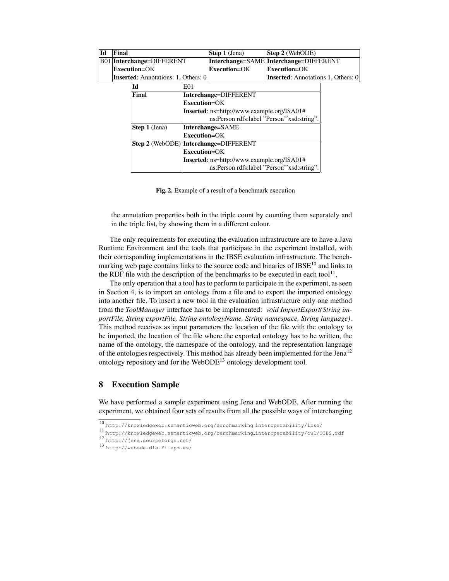| Final                                                     |                                                                        |                  | <b>Step 1</b> (Jena)                      |                                            |                                                                                                                                                                                                      |  |
|-----------------------------------------------------------|------------------------------------------------------------------------|------------------|-------------------------------------------|--------------------------------------------|------------------------------------------------------------------------------------------------------------------------------------------------------------------------------------------------------|--|
| B01 Interchange=DIFFERENT                                 |                                                                        |                  |                                           | Interchange=DIFFERENT                      |                                                                                                                                                                                                      |  |
| Execution=OK                                              |                                                                        |                  | Execution=OK                              |                                            |                                                                                                                                                                                                      |  |
|                                                           |                                                                        |                  | <b>Inserted:</b> Annotations 1, Others: 0 |                                            |                                                                                                                                                                                                      |  |
| Id                                                        |                                                                        | E <sub>01</sub>  |                                           |                                            |                                                                                                                                                                                                      |  |
|                                                           | Final<br>Interchange=DIFFERENT                                         |                  |                                           |                                            |                                                                                                                                                                                                      |  |
|                                                           | $Execution = OK$<br><b>Inserted</b> : ns=http://www.example.org/ISA01# |                  |                                           |                                            |                                                                                                                                                                                                      |  |
|                                                           |                                                                        |                  |                                           |                                            |                                                                                                                                                                                                      |  |
|                                                           |                                                                        |                  |                                           |                                            |                                                                                                                                                                                                      |  |
|                                                           | Step 1 (Jena)<br>Interchange=SAME                                      |                  |                                           |                                            |                                                                                                                                                                                                      |  |
| $Execution = OK$<br>Step 2 (WebODE) Interchange=DIFFERENT |                                                                        |                  |                                           |                                            |                                                                                                                                                                                                      |  |
|                                                           |                                                                        |                  |                                           |                                            |                                                                                                                                                                                                      |  |
|                                                           |                                                                        | $Execution = OK$ |                                           |                                            |                                                                                                                                                                                                      |  |
|                                                           |                                                                        |                  |                                           |                                            |                                                                                                                                                                                                      |  |
|                                                           |                                                                        |                  |                                           |                                            |                                                                                                                                                                                                      |  |
|                                                           |                                                                        |                  |                                           | <b>Inserted:</b> Annotations: 1, Others: 0 | <b>Step 2</b> (WebODE)<br>Interchange=SAME<br>Execution=OK<br>ns:Person rdfs:label "Person" xsd:string".<br>Inserted: ns=http://www.example.org/ISA01#<br>ns:Person rdfs:label "Person^^xsd:string". |  |

**Fig. 2.** Example of a result of a benchmark execution

the annotation properties both in the triple count by counting them separately and in the triple list, by showing them in a different colour.

The only requirements for executing the evaluation infrastructure are to have a Java Runtime Environment and the tools that participate in the experiment installed, with their corresponding implementations in the IBSE evaluation infrastructure. The benchmarking web page contains links to the source code and binaries of  $IBSE<sup>10</sup>$  and links to the RDF file with the description of the benchmarks to be executed in each tool<sup>11</sup>.

The only operation that a tool has to perform to participate in the experiment, as seen in Section 4, is to import an ontology from a file and to export the imported ontology into another file. To insert a new tool in the evaluation infrastructure only one method from the *ToolManager* interface has to be implemented: *void ImportExport(String importFile, String exportFile, String ontologyName, String namespace, String language)*. This method receives as input parameters the location of the file with the ontology to be imported, the location of the file where the exported ontology has to be written, the name of the ontology, the namespace of the ontology, and the representation language of the ontologies respectively. This method has already been implemented for the Jena<sup>12</sup> ontology repository and for the WebODE<sup>13</sup> ontology development tool.

## **8 Execution Sample**

We have performed a sample experiment using Jena and WebODE. After running the experiment, we obtained four sets of results from all the possible ways of interchanging

<sup>10</sup> http://knowledgeweb.semanticweb.org/benchmarking interoperability/ibse/

<sup>11</sup> http://knowledgeweb.semanticweb.org/benchmarking interoperability/owl/OIBS.rdf

<sup>12</sup> http://jena.sourceforge.net/

<sup>13</sup> http://webode.dia.fi.upm.es/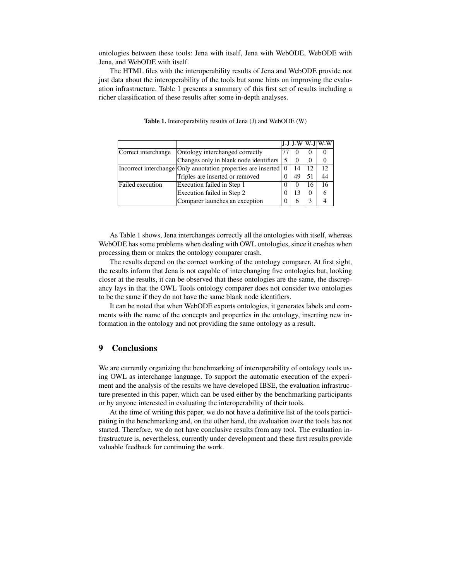ontologies between these tools: Jena with itself, Jena with WebODE, WebODE with Jena, and WebODE with itself.

The HTML files with the interoperability results of Jena and WebODE provide not just data about the interoperability of the tools but some hints on improving the evaluation infrastructure. Table 1 presents a summary of this first set of results including a richer classification of these results after some in-depth analyses.

|                     |                                                               |          |          |          | J-J J-W W-J W-W |
|---------------------|---------------------------------------------------------------|----------|----------|----------|-----------------|
| Correct interchange | Ontology interchanged correctly                               |          |          | $\theta$ |                 |
|                     | Changes only in blank node identifiers                        |          | $\theta$ | $\theta$ |                 |
|                     | Incorrect interchange Only annotation properties are inserted |          | 14       | 12       | 12              |
|                     | Triples are inserted or removed                               | $\theta$ | 49       | 51       | 44              |
| Failed execution    | Execution failed in Step 1                                    | 0        | $\theta$ | 16       | 16              |
|                     | Execution failed in Step 2                                    | 0        | 13       | $\theta$ |                 |
|                     | Comparer launches an exception                                | $\theta$ | h        |          |                 |

**Table 1.** Interoperability results of Jena (J) and WebODE (W)

As Table 1 shows, Jena interchanges correctly all the ontologies with itself, whereas WebODE has some problems when dealing with OWL ontologies, since it crashes when processing them or makes the ontology comparer crash.

The results depend on the correct working of the ontology comparer. At first sight, the results inform that Jena is not capable of interchanging five ontologies but, looking closer at the results, it can be observed that these ontologies are the same, the discrepancy lays in that the OWL Tools ontology comparer does not consider two ontologies to be the same if they do not have the same blank node identifiers.

It can be noted that when WebODE exports ontologies, it generates labels and comments with the name of the concepts and properties in the ontology, inserting new information in the ontology and not providing the same ontology as a result.

#### **9 Conclusions**

We are currently organizing the benchmarking of interoperability of ontology tools using OWL as interchange language. To support the automatic execution of the experiment and the analysis of the results we have developed IBSE, the evaluation infrastructure presented in this paper, which can be used either by the benchmarking participants or by anyone interested in evaluating the interoperability of their tools.

At the time of writing this paper, we do not have a definitive list of the tools participating in the benchmarking and, on the other hand, the evaluation over the tools has not started. Therefore, we do not have conclusive results from any tool. The evaluation infrastructure is, nevertheless, currently under development and these first results provide valuable feedback for continuing the work.